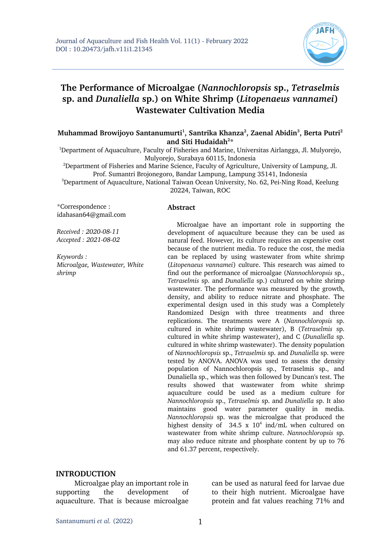

# **The Performance of Microalgae (***Nannochloropsis* **sp.,** *Tetraselmis* **sp. and** *Dunaliella* **sp.) on White Shrimp (***Litopenaeus vannamei***) Wastewater Cultivation Media**

#### **Muhammad Browijoyo Santanumurti1 , Santrika Khanza2 , Zaenal Abidin3 , Berta Putri2** and Siti Hudaidah<sup>2\*</sup>

<sup>1</sup>Department of Aquaculture, Faculty of Fisheries and Marine, Universitas Airlangga, Jl. Mulyorejo, Mulyorejo, Surabaya 60115, Indonesia

<sup>2</sup>Department of Fisheries and Marine Science, Faculty of Agriculture, University of Lampung, Jl. Prof. Sumantri Brojonegoro, Bandar Lampung, Lampung 35141, Indonesia

<sup>3</sup>Department of Aquaculture, National Taiwan Ocean University, No. 62, Pei-Ning Road, Keelung 20224, Taiwan, ROC

**Abstract**

\*Correspondence : idahasan64@gmail.com

*Received : 2020-08-11 Accepted : 2021-08-02*

*Keywords : Microalgae, Wastewater, White shrimp*

Microalgae have an important role in supporting the development of aquaculture because they can be used as natural feed. However, its culture requires an expensive cost because of the nutrient media. To reduce the cost, the media can be replaced by using wastewater from white shrimp (*Litopenaeus vannamei*) culture. This research was aimed to find out the performance of microalgae (*Nannochloropsis* sp., *Tetraselmis* sp. and *Dunaliella* sp.) cultured on white shrimp wastewater. The performance was measured by the growth, density, and ability to reduce nitrate and phosphate. The experimental design used in this study was a Completely Randomized Design with three treatments and three replications. The treatments were A (*Nannochloropsis* sp. cultured in white shrimp wastewater), B (*Tetraselmis* sp. cultured in white shrimp wastewater), and C (*Dunaliella* sp. cultured in white shrimp wastewater). The density population of *Nannochloropsis* sp., *Tetraselmis* sp. and *Dunaliella* sp. were tested by ANOVA. ANOVA was used to assess the density population of Nannochloropsis sp., Tetraselmis sp., and Dunaliella sp., which was then followed by Duncan's test. The results showed that wastewater from white shrimp aquaculture could be used as a medium culture for *Nannochloropsis* sp., *Tetraselmis* sp. and *Dunaliella* sp. It also maintains good water parameter quality in media. *Nannochloropsis* sp. was the microalgae that produced the highest density of  $34.5 \times 10^4$  ind/mL when cultured on wastewater from white shrimp culture. *Nannochloropsis* sp. may also reduce nitrate and phosphate content by up to 76 and 61.37 percent, respectively.

#### **INTRODUCTION**

Microalgae play an important role in supporting the development of aquaculture. That is because microalgae can be used as natural feed for larvae due to their high nutrient. Microalgae have protein and fat values reaching 71% and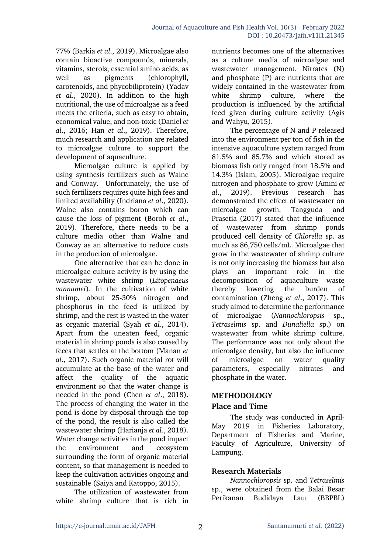77% (Barkia *et al*., 2019). Microalgae also contain bioactive compounds, minerals, vitamins, sterols, essential amino acids, as well as pigments (chlorophyll, carotenoids, and phycobiliprotein) (Yadav *et al*., 2020). In addition to the high nutritional, the use of microalgae as a feed meets the criteria, such as easy to obtain, economical value, and non-toxic (Daniel *et al*., 2016; Han *et al*., 2019). Therefore, much research and application are related to microalgae culture to support the development of aquaculture.

Microalgae culture is applied by using synthesis fertilizers such as Walne and Conway. Unfortunately, the use of such fertilizers requires quite high fees and limited availability (Indriana *et al*., 2020). Walne also contains boron which can cause the loss of pigment (Boroh *et al*., 2019). Therefore, there needs to be a culture media other than Walne and Conway as an alternative to reduce costs in the production of microalgae.

One alternative that can be done in microalgae culture activity is by using the wastewater white shrimp (*Litopenaeus vannamei*). In the cultivation of white shrimp, about 25-30% nitrogen and phosphorus in the feed is utilized by shrimp, and the rest is wasted in the water as organic material (Syah *et al*., 2014). Apart from the uneaten feed, organic material in shrimp ponds is also caused by feces that settles at the bottom (Manan *et al*., 2017). Such organic material rot will accumulate at the base of the water and affect the quality of the aquatic environment so that the water change is needed in the pond (Chen *et al*., 2018). The process of changing the water in the pond is done by disposal through the top of the pond, the result is also called the wastewater shrimp (Harianja *et al*., 2018). Water change activities in the pond impact the environment and ecosystem surrounding the form of organic material content, so that management is needed to keep the cultivation activities ongoing and sustainable (Saiya and Katoppo, 2015).

The utilization of wastewater from white shrimp culture that is rich in nutrients becomes one of the alternatives as a culture media of microalgae and wastewater management. Nitrates (N) and phosphate (P) are nutrients that are widely contained in the wastewater from white shrimp culture, where the production is influenced by the artificial feed given during culture activity (Agis and Wahyu, 2015).

The percentage of N and P released into the environment per ton of fish in the intensive aquaculture system ranged from 81.5% and 85.7% and which stored as biomass fish only ranged from 18.5% and 14.3% (Islam, 2005). Microalgae require nitrogen and phosphate to grow (Amini *et al*., 2019). Previous research has demonstrated the effect of wastewater on microalgae growth. Tangguda and Prasetia (2017) stated that the influence of wastewater from shrimp ponds produced cell density of *Chlorella* sp. as much as 86,750 cells/mL. Microalgae that grow in the wastewater of shrimp culture is not only increasing the biomass but also plays an important role in the decomposition of aquaculture waste thereby lowering the burden of contamination (Zheng *et al*., 2017). This study aimed to determine the performance of microalgae (*Nannochloropsis* sp., *Tetraselmis* sp. and *Dunaliella* sp.) on wastewater from white shrimp culture. The performance was not only about the microalgae density, but also the influence of microalgae on water quality parameters, especially nitrates and phosphate in the water.

# **METHODOLOGY**

# **Place and Time**

The study was conducted in April-May 2019 in Fisheries Laboratory, Department of Fisheries and Marine, Faculty of Agriculture, University of Lampung.

# **Research Materials**

*Nannochloropsis* sp. and *Tetraselmis*  sp., were obtained from the Balai Besar Perikanan Budidaya Laut (BBPBL)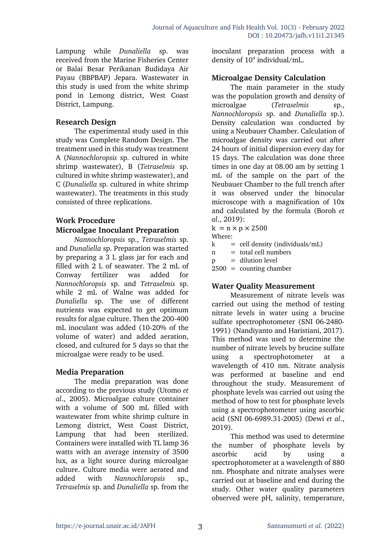Lampung while *Dunaliella* sp. was received from the Marine Fisheries Center or Balai Besar Perikanan Budidaya Air Payau (BBPBAP) Jepara. Wastewater in this study is used from the white shrimp pond in Lemong district, West Coast District, Lampung.

### **Research Design**

The experimental study used in this study was Complete Random Design. The treatment used in this study was treatment A (*Nannochloropsis* sp. cultured in white shrimp wastewater), B (*Tetraselmis* sp. cultured in white shrimp wastewater), and C (*Dunaliella* sp. cultured in white shrimp wastewater). The treatments in this study consisted of three replications.

# **Work Procedure**

#### **Microalgae Inoculant Preparation**

*Nannochloropsis* sp., *Tetraselmis* sp. and *Dunaliella* sp. Preparation was started by preparing a 3 L glass jar for each and filled with 2 L of seawater. The 2 mL of Conway fertilizer was added for *Nannochloropsis* sp. and *Tetraselmis* sp. while 2 mL of Walne was added for *Dunaliella* sp. The use of different nutrients was expected to get optimum results for algae culture. Then the 200-400 mL inoculant was added (10-20% of the volume of water) and added aeration, closed, and cultured for 5 days so that the microalgae were ready to be used.

#### **Media Preparation**

The media preparation was done according to the previous study (Utomo *et al*., 2005). Microalgae culture container with a volume of 500 mL filled with wastewater from white shrimp culture in Lemong district, West Coast District, Lampung that had been sterilized. Containers were installed with TL lamp 36 watts with an average intensity of 3500 lux, as a light source during microalgae culture. Culture media were aerated and added with *Nannochloropsis* sp., *Tetraselmis* sp. and *Dunaliella* sp. from the

inoculant preparation process with a density of  $10^4$  individual/mL.

#### **Microalgae Density Calculation**

The main parameter in the study was the population growth and density of microalgae (*Tetraselmis* sp., *Nannochloropsis* sp. and *Dunaliella* sp.). Density calculation was conducted by using a Neubauer Chamber. Calculation of microalgae density was carried out after 24 hours of initial dispersion every day for 15 days. The calculation was done three times in one day at 08.00 am by setting 1 mL of the sample on the part of the Neubauer Chamber to the full trench after it was observed under the binocular microscope with a magnification of 10x and calculated by the formula (Boroh *et al*., 2019):

- $k = n \times p \times 2500$
- Where:

 $k =$  cell density (individuals/mL)

 $n =$  total cell numbers

 $p =$  dilution level

2500 = counting chamber

# **Water Quality Measurement**

Measurement of nitrate levels was carried out using the method of testing nitrate levels in water using a brucine sulfate spectrophotometer (SNI 06-2480- 1991) (Nandiyanto and Haristiani, 2017). This method was used to determine the number of nitrate levels by brucine sulfate using a spectrophotometer at a wavelength of 410 nm. Nitrate analysis was performed at baseline and end throughout the study. Measurement of phosphate levels was carried out using the method of how to test for phosphate levels using a spectrophotometer using ascorbic acid (SNI 06-6989.31-2005) (Dewi *et al*., 2019).

This method was used to determine the number of phosphate levels by ascorbic acid by using a spectrophotometer at a wavelength of 880 nm. Phosphate and nitrate analyses were carried out at baseline and end during the study. Other water quality parameters observed were pH, salinity, temperature,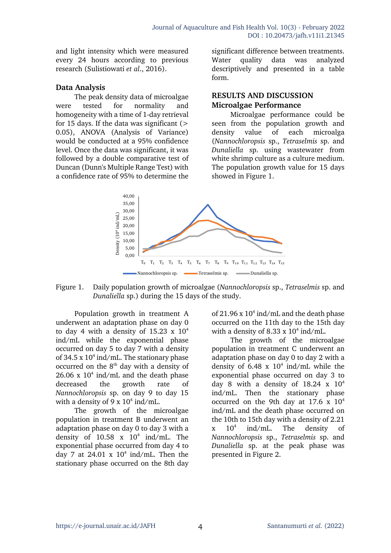and light intensity which were measured every 24 hours according to previous research (Sulistiowati *et al*., 2016).

#### **Data Analysis**

The peak density data of microalgae were tested for normality and homogeneity with a time of 1-day retrieval for 15 days. If the data was significant  $($ 0.05), ANOVA (Analysis of Variance) would be conducted at a 95% confidence level. Once the data was significant, it was followed by a double comparative test of Duncan (Dunn's Multiple Range Test) with a confidence rate of 95% to determine the

significant difference between treatments. Water quality data was analyzed descriptively and presented in a table form.

#### **RESULTS AND DISCUSSION Microalgae Performance**

Microalgae performance could be seen from the population growth and density value of each microalga (*Nannochloropsis* sp., *Tetraselmis* sp. and *Dunaliella* sp. using wastewater from white shrimp culture as a culture medium. The population growth value for 15 days showed in Figure 1.



Figure 1. Daily population growth of microalgae (*Nannochloropsis* sp., *Tetraselmis* sp. and *Dunaliella* sp.) during the 15 days of the study.

Population growth in treatment A underwent an adaptation phase on day 0 to day 4 with a density of  $15.23 \times 10^4$ ind/mL while the exponential phase occurred on day 5 to day 7 with a density of 34.5 x  $10^4$  ind/mL. The stationary phase occurred on the  $8<sup>th</sup>$  day with a density of  $26.06$  x  $10<sup>4</sup>$  ind/mL and the death phase decreased the growth rate of *Nannochloropsis* sp. on day 9 to day 15 with a density of 9 x  $10^4$  ind/mL.

The growth of the microalgae population in treatment B underwent an adaptation phase on day 0 to day 3 with a density of  $10.58 \times 10^4$  ind/mL. The exponential phase occurred from day 4 to day 7 at 24.01 x  $10^4$  ind/mL. Then the stationary phase occurred on the 8th day

of 21.96 x  $10^4$  ind/mL and the death phase occurred on the 11th day to the 15th day with a density of 8.33 x  $10^4$  ind/mL.

The growth of the microalgae population in treatment C underwent an adaptation phase on day 0 to day 2 with a density of  $6.48 \times 10^4$  ind/mL while the exponential phase occurred on day 3 to day 8 with a density of  $18.24 \times 10^4$ ind/mL. Then the stationary phase occurred on the 9th day at 17.6 x 104 ind/mL and the death phase occurred on the 10th to 15th day with a density of 2.21  $x$  10<sup>4</sup> ind/mL. The density of *Nannochloropsis* sp., *Tetraselmis* sp. and *Dunaliella* sp. at the peak phase was presented in Figure 2.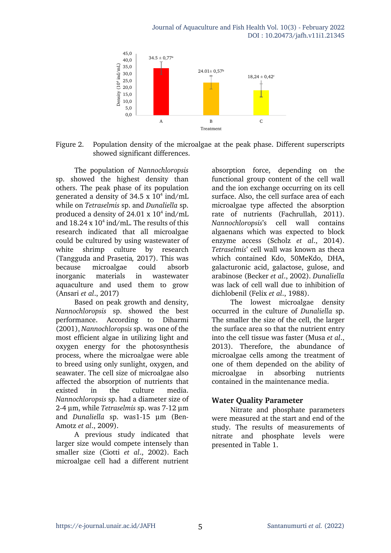

Figure 2. Population density of the microalgae at the peak phase. Different superscripts showed significant differences.

The population of *Nannochloropsis* sp. showed the highest density than others. The peak phase of its population generated a density of 34.5 x  $10^4$  ind/mL while on *Tetraselmis* sp. and *Dunaliella* sp. produced a density of  $24.01 \times 10^4$  ind/mL and  $18.24 \times 10^4$  ind/mL. The results of this research indicated that all microalgae could be cultured by using wastewater of white shrimp culture by research (Tangguda and Prasetia*,* 2017). This was because microalgae could absorb inorganic materials in wastewater aquaculture and used them to grow (Ansari *et al*., 2017)

Based on peak growth and density, *Nannochloropsis* sp. showed the best performance. According to Diharmi (2001), *Nannochloropsis* sp. was one of the most efficient algae in utilizing light and oxygen energy for the photosynthesis process, where the microalgae were able to breed using only sunlight, oxygen, and seawater. The cell size of microalgae also affected the absorption of nutrients that existed in the culture media. *Nannochloropsis* sp. had a diameter size of 2-4 μm, while *Tetraselmis* sp. was 7-12 μm and *Dunaliella* sp. was1-15 μm (Ben-Amotz *et al*., 2009).

A previous study indicated that larger size would compete intensely than smaller size (Ciotti *et al*., 2002). Each microalgae cell had a different nutrient

absorption force, depending on the functional group content of the cell wall and the ion exchange occurring on its cell surface. Also, the cell surface area of each microalgae type affected the absorption rate of nutrients (Fachrullah, 2011). *Nannochloropsis*'s cell wall contains algaenans which was expected to block enzyme access (Scholz *et al*., 2014). *Tetraselmis*' cell wall was known as theca which contained Kdo, 50MeKdo, DHA, galacturonic acid, galactose, gulose, and arabinose (Becker *et al*., 2002). *Dunaliella* was lack of cell wall due to inhibition of dichlobenil (Felix *et al*., 1988).

The lowest microalgae density occurred in the culture of *Dunaliella* sp. The smaller the size of the cell, the larger the surface area so that the nutrient entry into the cell tissue was faster (Musa *et al*., 2013). Therefore, the abundance of microalgae cells among the treatment of one of them depended on the ability of microalgae in absorbing nutrients contained in the maintenance media.

#### **Water Quality Parameter**

Nitrate and phosphate parameters were measured at the start and end of the study. The results of measurements of nitrate and phosphate levels were presented in Table 1.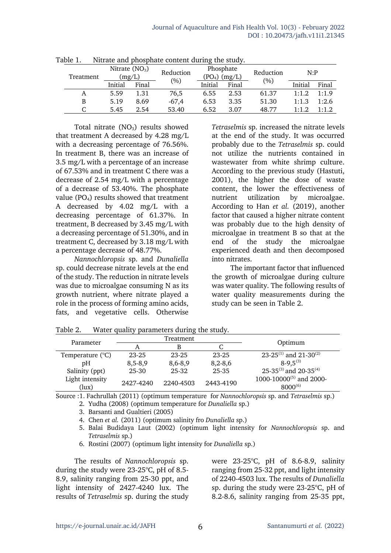| Treatment | Nitrate $(NO3)$<br>(mg/L) |       | Reduction | Phosphate<br>(PO <sub>4</sub> ) (mg/L) |       | Reduction | N: P    |       |
|-----------|---------------------------|-------|-----------|----------------------------------------|-------|-----------|---------|-------|
|           | Initial                   | Final | (%)       | Initial                                | Final | $(\% )$   | Initial | Final |
| A         | 5.59                      | 1.31  | 76,5      | 6.55                                   | 2.53  | 61.37     | 1:1.2   | 1:1.9 |
| B         | 5.19                      | 8.69  | $-67,4$   | 6.53                                   | 3.35  | 51.30     | 1:1.3   | 1:2.6 |
|           | 5.45                      | 2.54  | 53.40     | 6.52                                   | 3.07  | 48.77     | 1.19    | 1:1.2 |

Table 1. Nitrate and phosphate content during the study.

Total nitrate  $(NO<sub>3</sub>)$  results showed that treatment A decreased by 4.28 mg/L with a decreasing percentage of 76.56%. In treatment B, there was an increase of 3.5 mg/L with a percentage of an increase of 67.53% and in treatment C there was a decrease of 2.54 mg/L with a percentage of a decrease of 53.40%. The phosphate value  $(PO<sub>4</sub>)$  results showed that treatment A decreased by 4.02 mg/L with a decreasing percentage of 61.37%. In treatment, B decreased by 3.45 mg/L with a decreasing percentage of 51.30%, and in treatment C, decreased by 3.18 mg/L with a percentage decrease of 48.77%.

*Nannochloropsis* sp. and *Dunaliella* sp. could decrease nitrate levels at the end of the study. The reduction in nitrate levels was due to microalgae consuming N as its growth nutrient, where nitrate played a role in the process of forming amino acids, fats, and vegetative cells. Otherwise

*Tetraselmis* sp. increased the nitrate levels at the end of the study. It was occurred probably due to the *Tetraselmis* sp. could not utilize the nutrients contained in wastewater from white shrimp culture. According to the previous study (Hastuti, 2001), the higher the dose of waste content, the lower the effectiveness of nutrient utilization by microalgae. According to Han *et al.* (2019), another factor that caused a higher nitrate content was probably due to the high density of microalgae in treatment B so that at the end of the study the microalgae experienced death and then decomposed into nitrates.

The important factor that influenced the growth of microalgae during culture was water quality. The following results of water quality measurements during the study can be seen in Table 2.

|                          |           | Treatment |             |                                                     |  |
|--------------------------|-----------|-----------|-------------|-----------------------------------------------------|--|
| Parameter                |           | В         |             | Optimum                                             |  |
| Temperature (°C)         | 23-25     | $23 - 25$ | 23-25       | 23-25 <sup>(1)</sup> and 21-30 <sup>(2)</sup>       |  |
| pΗ                       | $8,5-8,9$ | 8,6-8,9   | $8,2 - 8,6$ | $8-9,5^{(3)}$                                       |  |
| Salinity (ppt)           | 25-30     | 25-32     | 25-35       | 25-35 $(3)$ and 20-35 $(4)$                         |  |
| Light intensity<br>(lux) | 2427-4240 | 2240-4503 | 2443-4190   | 1000-10000 <sup>(5)</sup> and 2000-<br>$8000^{(6)}$ |  |

Table 2. Water quality parameters during the study.

Source :1. Fachrullah (2011) (optimum temperature for *Nannochloropsis* sp. and *Tetraselmis* sp.) 2. Yudha (2008) (optimum temperature for *Dunaliella* sp.)

3. Barsanti and Gualtieri (2005)

4. Chen *et al.* (2011) (optimum salinity fro *Dunaliella* sp.)

5. Balai Budidaya Laut (2002) (optimum light intensity for *Nannochloropsis* sp. and *Tetraselmis* sp.)

6. Rostini (2007) (optimum light intensity for *Dunaliella* sp.)

The results of *Nannochloropsis* sp. during the study were  $23-25^{\circ}$ C, pH of 8.5-8.9, salinity ranging from 25-30 ppt, and light intensity of 2427-4240 lux. The results of *Tetraselmis* sp. during the study

were 23-25°C, pH of 8.6-8.9, salinity ranging from 25-32 ppt, and light intensity of 2240-4503 lux. The results of *Dunaliella*  sp. during the study were  $23-25^{\circ}$ C, pH of 8.2-8.6, salinity ranging from 25-35 ppt,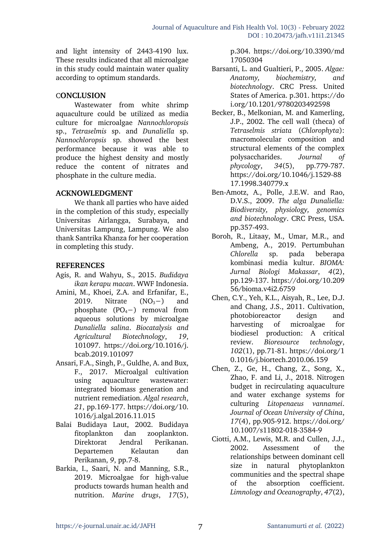and light intensity of 2443-4190 lux. These results indicated that all microalgae in this study could maintain water quality according to optimum standards.

#### C**ONCLUSION**

Wastewater from white shrimp aquaculture could be utilized as media culture for microalgae *Nannochloropsis* sp., *Tetraselmis* sp. and *Dunaliella* sp. *Nannochloropsis* sp. showed the best performance because it was able to produce the highest density and mostly reduce the content of nitrates and phosphate in the culture media.

#### **ACKNOWLEDGMENT**

We thank all parties who have aided in the completion of this study, especially Universitas Airlangga, Surabaya, and Universitas Lampung, Lampung. We also thank Santrika Khanza for her cooperation in completing this study.

#### **REFERENCES**

- Agis, R. and Wahyu, S., 2015. *Budidaya ikan kerapu macan*. WWF Indonesia.
- Amini, M., Khoei, Z.A. and Erfanifar, E., 2019. Nitrate  $(NO<sub>3</sub>−)$  and phosphate  $(PO<sub>4</sub>−)$  removal from aqueous solutions by microalgae *Dunaliella salina*. *Biocatalysis and Agricultural Biotechnology*, *19*, 101097. https://doi.org/10.1016/j. bcab.2019.101097
- Ansari, F.A., Singh, P., Guldhe, A. and Bux, F., 2017. Microalgal cultivation using aquaculture wastewater: integrated biomass generation and nutrient remediation. *Algal research*, *21*, pp.169-177. https://doi.org/10. 1016/j.algal.2016.11.015
- Balai Budidaya Laut, 2002. Budidaya fitoplankton dan zooplankton. Direktorat Jendral Perikanan. Departemen Kelautan dan Perikanan, *9*, pp.7-8.
- Barkia, I., Saari, N. and Manning, S.R., 2019. Microalgae for high-value products towards human health and nutrition. *Marine drugs*, *17*(5),

p.304. https://doi.org/10.3390/md 17050304

- Barsanti, L. and Gualtieri, P., 2005. *Algae: Anatomy, biochemistry, and biotechnology*. CRC Press. United States of America. p.301. https://do i.org/10.1201/9780203492598
- Becker, B., Melkonian, M. and Kamerling, J.P., 2002. The cell wall (theca) of *Tetraselmis striata* (*Chlorophyta*): macromolecular composition and structural elements of the complex polysaccharides. *Journal of phycology*, *34*(5), pp.779-787. https://doi.org/10.1046/j.1529-88 17.1998.340779.x
- Ben-Amotz, A., Polle, J.E.W. and Rao, D.V.S., 2009. *The alga Dunaliella: Biodiversity, physiology, genomics and biotechnology*. CRC Press, USA. pp.357-493.
- Boroh, R., Litaay, M., Umar, M.R., and Ambeng, A., 2019. Pertumbuhan *Chlorella* sp. pada beberapa kombinasi media kultur. *BIOMA: Jurnal Biologi Makassar*, *4*(2), pp.129-137. https://doi.org/10.209 56/bioma.v4i2.6759
- Chen, C.Y., Yeh, K.L., Aisyah, R., Lee, D.J. and Chang, J.S., 2011. Cultivation, photobioreactor design and harvesting of microalgae for biodiesel production: A critical review. *Bioresource technology*, *102*(1), pp.71-81. https://doi.org/1 0.1016/j.biortech.2010.06.159
- Chen, Z., Ge, H., Chang, Z., Song, X., Zhao, F. and Li, J., 2018. Nitrogen budget in recirculating aquaculture and water exchange systems for culturing *Litopenaeus vannamei*. *Journal of Ocean University of China*, *17*(4), pp.905-912. https://doi.org/ 10.1007/s11802-018-3584-9
- Ciotti, A.M., Lewis, M.R. and Cullen, J.J., 2002. Assessment of the relationships between dominant cell size in natural phytoplankton communities and the spectral shape of the absorption coefficient. *Limnology and Oceanography*, *47*(2),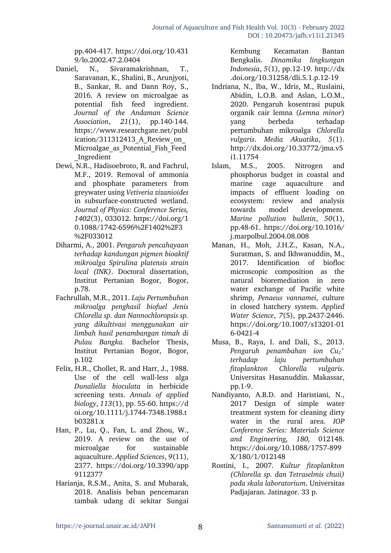pp.404-417. https://doi.org/10.431 9/lo.2002.47.2.0404

- Daniel, N., Sivaramakrishnan, T., Saravanan, K., Shalini, B., Arunjyoti, B., Sankar, R. and Dann Roy, S., 2016. A review on microalgae as potential fish feed ingredient. *Journal of the Andaman Science Association*, *21*(1), pp.140-144. https://www.researchgate.net/publ ication/311312413 A Review on Microalgae as Potential Fish Feed \_Ingredient
- Dewi, N.R., Hadisoebroto, R. and Fachrul, M.F., 2019. Removal of ammonia and phosphate parameters from greywater using *Vetiveria zizanioides* in subsurface-constructed wetland. *Journal of Physics: Conference Series, 1402*(3), 033012. https://doi.org/1 0.1088/1742-6596%2F1402%2F3 %2F033012
- Diharmi, A., 2001. *Pengaruh pencahayaan terhadap kandungan pigmen bioaktif mikroalga Spirulina platensis strain local (INK)*. Doctoral dissertation, Institut Pertanian Bogor, Bogor, p.78.
- Fachrullah, M.R., 2011. *Laju Pertumbuhan mikroalga penghasil biofuel Jenis Chlorella sp. dan Nannochloropsis sp. yang dikultivasi menggunakan air limbah hasil penambangan timah di Pulau Bangka.* Bachelor Thesis, Institut Pertanian Bogor, Bogor, p.102
- Felix, H.R., Chollet, R. and Harr, J., 1988. Use of the cell wall-less alga *Dunaliella bioculata* in herbicide screening tests. *Annals of applied biology*, *113*(1), pp. 55-60. https://d oi.org/10.1111/j.1744-7348.1988.t b03281.x
- Han, P., Lu, Q., Fan, L. and Zhou, W., 2019. A review on the use of microalgae for sustainable aquaculture. *Applied Sciences*, *9*(11), 2377. https://doi.org/10.3390/app 9112377
- Harianja, R.S.M., Anita, S. and Mubarak, 2018. Analisis beban pencemaran tambak udang di sekitar Sungai

Kembung Kecamatan Bantan Bengkalis. *Dinamika lingkungan Indonesia*, *5*(1), pp.12-19. http://dx .doi.org/10.31258/dli.5.1.p.12-19

- Indriana, N., Iba, W., Idris, M., Ruslaini, Abidin, L.O.B. and Aslan, L.O.M., 2020. Pengaruh kosentrasi pupuk organik cair lemna (*Lemna minor*) yang berbeda terhadap pertumbuhan mikroalga *Chlorella vulgaris*. *Media Akuatika*, *5*(1). http://dx.doi.org/10.33772/jma.v5 i1.11754
- Islam, M.S., 2005. Nitrogen and phosphorus budget in coastal and marine cage aquaculture and impacts of effluent loading on ecosystem: review and analysis towards model development. *Marine pollution bulletin*, *50*(1), pp.48-61. https://doi.org/10.1016/ j.marpolbul.2004.08.008
- Manan, H., Moh, J.H.Z., Kasan, N.A., Suratman, S. and Ikhwanuddin, M., 2017. Identification of biofloc microscopic composition as the natural bioremediation in zero water exchange of Pacific white shrimp, *Penaeus vannamei*, culture in closed hatchery system. *Applied Water Science*, *7*(5), pp.2437-2446. https://doi.org/10.1007/s13201-01 6-0421-4
- Musa, B., Raya, I. and Dali, S., 2013. *Pengaruh penambahan ion Cu2 + terhadap laju pertumbuhan fitoplankton Chlorella vulgaris*. Universitas Hasanuddin. Makassar, pp.1-9.
- Nandiyanto, A.B.D. and Haristiani, N., 2017 Design of simple water treatment system for cleaning dirty water in the rural area. *IOP Conference Series: Materials Science and Engineering, 180,* 012148. https://doi.org/10.1088/1757-899 X/180/1/012148
- Rostini, I., 2007. *Kultur fitoplankton (Chlorella sp. dan Tetraselmis chuii) pada skala laboratorium*. Universitas Padjajaran. Jatinagor. 33 p.